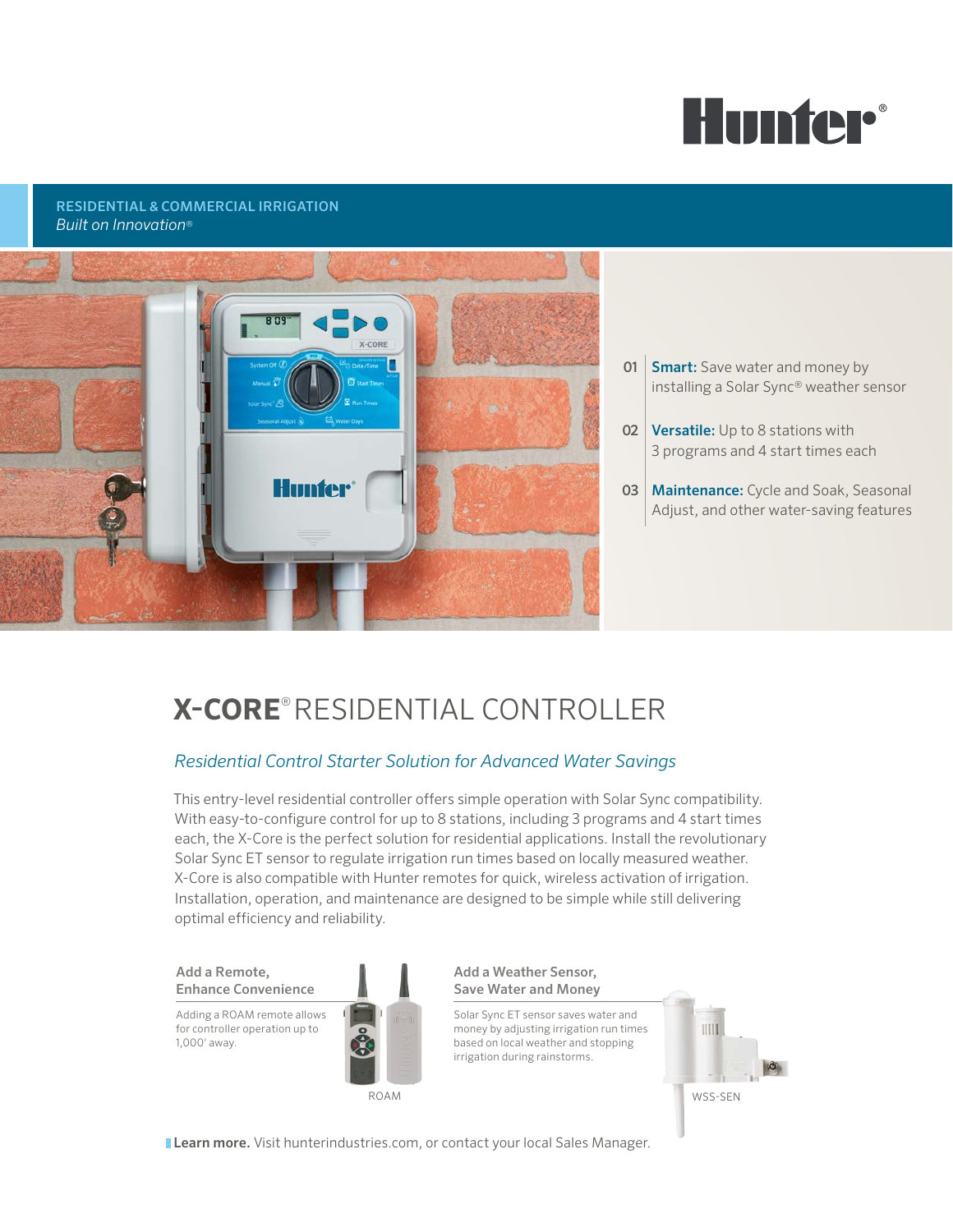

#### RESIDENTIAL & COMMERCIAL IRRIGATION *Built on Innovation*®



- **01 Smart:** Save water and money by installing a Solar Sync® weather sensor
- **02 Versatile:** Up to 8 stations with 3 programs and 4 start times each
- **03 Maintenance:** Cycle and Soak, Seasonal Adjust, and other water-saving features

# **X-CORE**® RESIDENTIAL CONTROLLER

### *Residential Control Starter Solution for Advanced Water Savings*

This entry-level residential controller offers simple operation with Solar Sync compatibility. With easy-to-configure control for up to 8 stations, including 3 programs and 4 start times each, the X-Core is the perfect solution for residential applications. Install the revolutionary Solar Sync ET sensor to regulate irrigation run times based on locally measured weather. X-Core is also compatible with Hunter remotes for quick, wireless activation of irrigation. Installation, operation, and maintenance are designed to be simple while still delivering optimal efficiency and reliability.

Add a Remote, Enhance Convenience

Adding a ROAM remote allows for controller operation up to 1,000' away.



Add a Weather Sensor, Save Water and Money

Solar Sync ET sensor saves water and money by adjusting irrigation run times based on local weather and stopping irrigation during rainstorms.



**Learn more.** Visit hunterindustries.com, or contact your local Sales Manager.